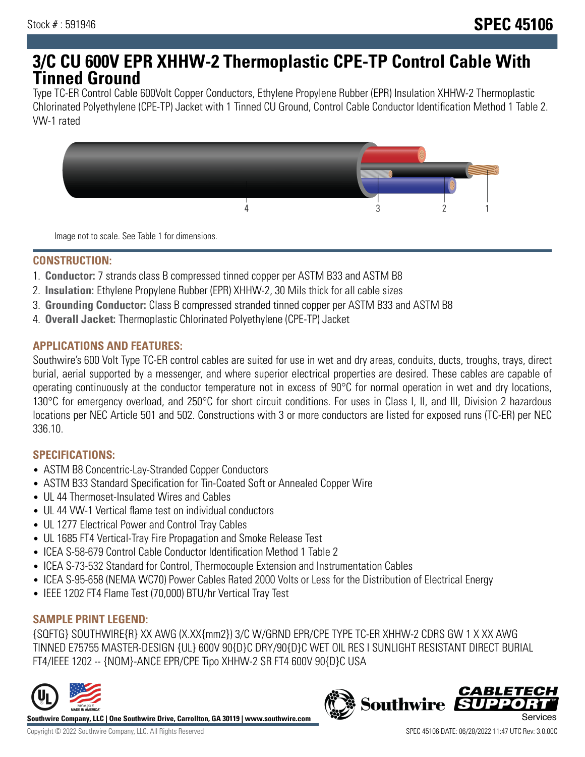## **3/C CU 600V EPR XHHW-2 Thermoplastic CPE-TP Control Cable With Tinned Ground**

Type TC-ER Control Cable 600Volt Copper Conductors, Ethylene Propylene Rubber (EPR) Insulation XHHW-2 Thermoplastic Chlorinated Polyethylene (CPE-TP) Jacket with 1 Tinned CU Ground, Control Cable Conductor Identification Method 1 Table 2. VW-1 rated



Image not to scale. See Table 1 for dimensions.

#### **CONSTRUCTION:**

- 1. **Conductor:** 7 strands class B compressed tinned copper per ASTM B33 and ASTM B8
- 2. **Insulation:** Ethylene Propylene Rubber (EPR) XHHW-2, 30 Mils thick for all cable sizes
- 3. **Grounding Conductor:** Class B compressed stranded tinned copper per ASTM B33 and ASTM B8
- 4. **Overall Jacket:** Thermoplastic Chlorinated Polyethylene (CPE-TP) Jacket

### **APPLICATIONS AND FEATURES:**

Southwire's 600 Volt Type TC-ER control cables are suited for use in wet and dry areas, conduits, ducts, troughs, trays, direct burial, aerial supported by a messenger, and where superior electrical properties are desired. These cables are capable of operating continuously at the conductor temperature not in excess of 90°C for normal operation in wet and dry locations, 130°C for emergency overload, and 250°C for short circuit conditions. For uses in Class I, II, and III, Division 2 hazardous locations per NEC Article 501 and 502. Constructions with 3 or more conductors are listed for exposed runs (TC-ER) per NEC 336.10.

#### **SPECIFICATIONS:**

- ASTM B8 Concentric-Lay-Stranded Copper Conductors
- ASTM B33 Standard Specification for Tin-Coated Soft or Annealed Copper Wire
- UL 44 Thermoset-Insulated Wires and Cables
- UL 44 VW-1 Vertical flame test on individual conductors
- UL 1277 Electrical Power and Control Tray Cables
- UL 1685 FT4 Vertical-Tray Fire Propagation and Smoke Release Test
- ICEA S-58-679 Control Cable Conductor Identification Method 1 Table 2
- ICEA S-73-532 Standard for Control, Thermocouple Extension and Instrumentation Cables
- ICEA S-95-658 (NEMA WC70) Power Cables Rated 2000 Volts or Less for the Distribution of Electrical Energy
- IEEE 1202 FT4 Flame Test (70,000) BTU/hr Vertical Tray Test

#### **SAMPLE PRINT LEGEND:**

{SQFTG} SOUTHWIRE{R} XX AWG (X.XX{mm2}) 3/C W/GRND EPR/CPE TYPE TC-ER XHHW-2 CDRS GW 1 X XX AWG TINNED E75755 MASTER-DESIGN {UL} 600V 90{D}C DRY/90{D}C WET OIL RES I SUNLIGHT RESISTANT DIRECT BURIAL FT4/IEEE 1202 -- {NOM}-ANCE EPR/CPE Tipo XHHW-2 SR FT4 600V 90{D}C USA



**Southwire Company, LLC | One Southwire Drive, Carrollton, GA 30119 | www.southwire.com**